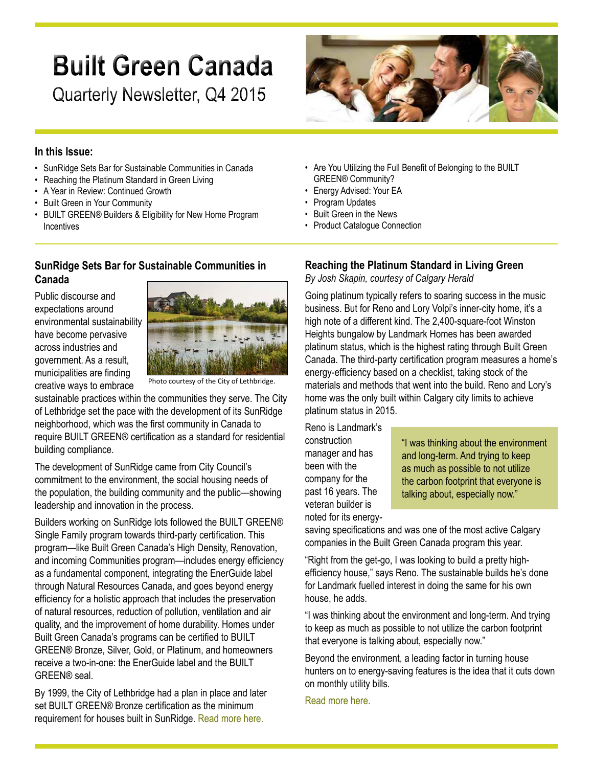# **Built Green Canada**

Quarterly Newsletter, Q4 2015



#### **In this Issue:**

- SunRidge Sets Bar for Sustainable Communities in Canada
- Reaching the Platinum Standard in Green Living
- A Year in Review: Continued Growth
- Built Green in Your Community
- BUILT GREEN® Builders & Eligibility for New Home Program **Incentives**

## **SunRidge Sets Bar for Sustainable Communities in Canada**

Public discourse and expectations around environmental sustainability have become pervasive across industries and government. As a result, municipalities are finding creative ways to embrace



Photo courtesy of the City of Lethbridge.

sustainable practices within the communities they serve. The City of Lethbridge set the pace with the development of its SunRidge neighborhood, which was the first community in Canada to require BUILT GREEN® certification as a standard for residential building compliance.

The development of SunRidge came from City Council's commitment to the environment, the social housing needs of the population, the building community and the public—showing leadership and innovation in the process.

Builders working on SunRidge lots followed the BUILT GREEN® Single Family program towards third-party certification. This program—like Built Green Canada's High Density, Renovation, and incoming Communities program—includes energy efficiency as a fundamental component, integrating the EnerGuide label through Natural Resources Canada, and goes beyond energy efficiency for a holistic approach that includes the preservation of natural resources, reduction of pollution, ventilation and air quality, and the improvement of home durability. Homes under Built Green Canada's programs can be certified to BUILT GREEN® Bronze, Silver, Gold, or Platinum, and homeowners receive a two-in-one: the EnerGuide label and the BUILT GREEN® seal.

By 1999, the City of Lethbridge had a plan in place and later set BUILT GREEN® Bronze certification as the minimum requirement for houses built in SunRidge. [Read more here.](http://www.builtgreencanada.ca/sunridge-sets-bar-for-sustainable-communities-in-canada?id=1456)

- Are You Utilizing the Full Benefit of Belonging to the BUILT GREEN® Community?
- Energy Advised: Your EA
- Program Updates
- Built Green in the News
- Product Catalogue Connection

## **Reaching the Platinum Standard in Living Green**

*By Josh Skapin, courtesy of Calgary Herald*

Going platinum typically refers to soaring success in the music business. But for Reno and Lory Volpi's inner-city home, it's a high note of a different kind. The 2,400-square-foot Winston Heights bungalow by Landmark Homes has been awarded platinum status, which is the highest rating through Built Green Canada. The third-party certification program measures a home's energy-efficiency based on a checklist, taking stock of the materials and methods that went into the build. Reno and Lory's home was the only built within Calgary city limits to achieve platinum status in 2015.

Reno is Landmark's construction manager and has been with the company for the past 16 years. The veteran builder is noted for its energy-

"I was thinking about the environment and long-term. And trying to keep as much as possible to not utilize the carbon footprint that everyone is talking about, especially now."

saving specifications and was one of the most active Calgary companies in the Built Green Canada program this year.

"Right from the get-go, I was looking to build a pretty highefficiency house," says Reno. The sustainable builds he's done for Landmark fuelled interest in doing the same for his own house, he adds.

"I was thinking about the environment and long-term. And trying to keep as much as possible to not utilize the carbon footprint that everyone is talking about, especially now."

Beyond the environment, a leading factor in turning house hunters on to energy-saving features is the idea that it cuts down on monthly utility bills.

[Read more here](http://calgaryherald.com/life/homes/new-homes/reaching-the-platinum-standard-in-living-green).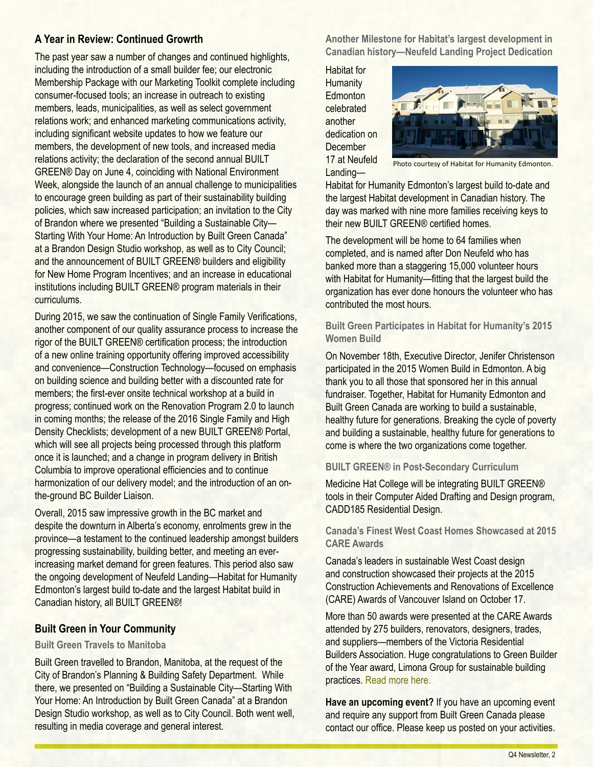## **A Year in Review: Continued Growrth**

The past year saw a number of changes and continued highlights, including the introduction of a small builder fee; our electronic Membership Package with our Marketing Toolkit complete including consumer-focused tools; an increase in outreach to existing members, leads, municipalities, as well as select government relations work; and enhanced marketing communications activity, including significant website updates to how we feature our members, the development of new tools, and increased media relations activity; the declaration of the second annual BUILT GREEN® Day on June 4, coinciding with National Environment Week, alongside the launch of an annual challenge to municipalities to encourage green building as part of their sustainability building policies, which saw increased participation; an invitation to the City of Brandon where we presented "Building a Sustainable City— Starting With Your Home: An Introduction by Built Green Canada" at a Brandon Design Studio workshop, as well as to City Council; and the announcement of BUILT GREEN® builders and eligibility for New Home Program Incentives; and an increase in educational institutions including BUILT GREEN® program materials in their curriculums.

During 2015, we saw the continuation of Single Family Verifications, another component of our quality assurance process to increase the rigor of the BUILT GREEN® certification process; the introduction of a new online training opportunity offering improved accessibility and convenience—Construction Technology—focused on emphasis on building science and building better with a discounted rate for members; the first-ever onsite technical workshop at a build in progress; continued work on the Renovation Program 2.0 to launch in coming months; the release of the 2016 Single Family and High Density Checklists; development of a new BUILT GREEN® Portal, which will see all projects being processed through this platform once it is launched; and a change in program delivery in British Columbia to improve operational efficiencies and to continue harmonization of our delivery model; and the introduction of an onthe-ground BC Builder Liaison.

Overall, 2015 saw impressive growth in the BC market and despite the downturn in Alberta's economy, enrolments grew in the province—a testament to the continued leadership amongst builders progressing sustainability, building better, and meeting an everincreasing market demand for green features. This period also saw the ongoing development of Neufeld Landing—Habitat for Humanity Edmonton's largest build to-date and the largest Habitat build in Canadian history, all BUILT GREEN®!

#### **Built Green in Your Community**

#### **Built Green Travels to Manitoba**

Built Green travelled to Brandon, Manitoba, at the request of the City of Brandon's Planning & Building Safety Department. While there, we presented on "Building a Sustainable City—Starting With Your Home: An Introduction by Built Green Canada" at a Brandon Design Studio workshop, as well as to City Council. Both went well, resulting in media coverage and general interest.

**Another Milestone for Habitat's largest development in Canadian history—Neufeld Landing Project Dedication**

Habitat for **Humanity Edmonton** celebrated another dedication on **December** 17 at Neufeld Landing—



Photo courtesy of Habitat for Humanity Edmonton.

Habitat for Humanity Edmonton's largest build to-date and the largest Habitat development in Canadian history. The day was marked with nine more families receiving keys to their new BUILT GREEN® certified homes.

The development will be home to 64 families when completed, and is named after Don Neufeld who has banked more than a staggering 15,000 volunteer hours with Habitat for Humanity—fitting that the largest build the organization has ever done honours the volunteer who has contributed the most hours.

#### **Built Green Participates in Habitat for Humanity's 2015 Women Build**

On November 18th, Executive Director, Jenifer Christenson participated in the 2015 Women Build in Edmonton. A big thank you to all those that sponsored her in this annual fundraiser. Together, Habitat for Humanity Edmonton and Built Green Canada are working to build a sustainable, healthy future for generations. Breaking the cycle of poverty and building a sustainable, healthy future for generations to come is where the two organizations come together.

#### **BUILT GREEN® in Post-Secondary Curriculum**

Medicine Hat College will be integrating BUILT GREEN® tools in their Computer Aided Drafting and Design program, CADD185 Residential Design.

#### **Canada's Finest West Coast Homes Showcased at 2015 CARE Awards**

Canada's leaders in sustainable West Coast design and construction showcased their projects at the 2015 Construction Achievements and Renovations of Excellence (CARE) Awards of Vancouver Island on October 17.

More than 50 awards were presented at the CARE Awards attended by 275 builders, renovators, designers, trades, and suppliers—members of the Victoria Residential Builders Association. Huge congratulations to Green Builder of the Year award, Limona Group for sustainable building practices. [Read more here.](http://www.vrba.ca/wp-content/uploads/2015/10/2015-CARE-Awards-Gold-Winners.pdf)

**Have an upcoming event?** If you have an upcoming event and require any support from Built Green Canada please contact our office. Please keep us posted on your activities.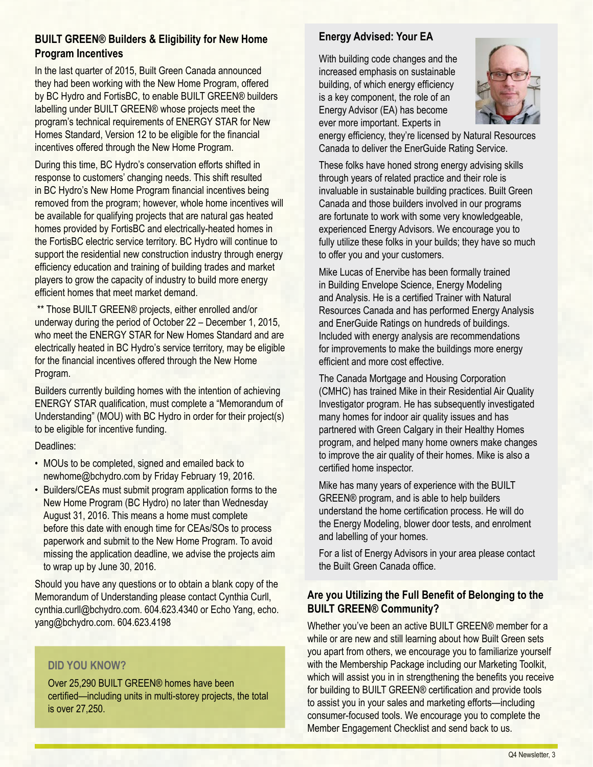## **BUILT GREEN® Builders & Eligibility for New Home Program Incentives**

In the last quarter of 2015, Built Green Canada announced they had been working with the New Home Program, offered by BC Hydro and FortisBC, to enable BUILT GREEN® builders labelling under BUILT GREEN® whose projects meet the program's technical requirements of ENERGY STAR for New Homes Standard, Version 12 to be eligible for the financial incentives offered through the New Home Program.

During this time, BC Hydro's conservation efforts shifted in response to customers' changing needs. This shift resulted in BC Hydro's New Home Program financial incentives being removed from the program; however, whole home incentives will be available for qualifying projects that are natural gas heated homes provided by FortisBC and electrically-heated homes in the FortisBC electric service territory. BC Hydro will continue to support the residential new construction industry through energy efficiency education and training of building trades and market players to grow the capacity of industry to build more energy efficient homes that meet market demand.

 \*\* Those BUILT GREEN® projects, either enrolled and/or underway during the period of October 22 – December 1, 2015, who meet the ENERGY STAR for New Homes Standard and are electrically heated in BC Hydro's service territory, may be eligible for the financial incentives offered through the New Home Program.

Builders currently building homes with the intention of achieving ENERGY STAR qualification, must complete a "Memorandum of Understanding" (MOU) with BC Hydro in order for their project(s) to be eligible for incentive funding.

#### Deadlines:

- MOUs to be completed, signed and emailed back to newhome@bchydro.com by Friday February 19, 2016.
- Builders/CEAs must submit program application forms to the New Home Program (BC Hydro) no later than Wednesday August 31, 2016. This means a home must complete before this date with enough time for CEAs/SOs to process paperwork and submit to the New Home Program. To avoid missing the application deadline, we advise the projects aim to wrap up by June 30, 2016.

Should you have any questions or to obtain a blank copy of the Memorandum of Understanding please contact Cynthia Curll, cynthia.curll@bchydro.com. 604.623.4340 or Echo Yang, echo. yang@bchydro.com. 604.623.4198

## **DID YOU KNOW?**

Over 25,290 BUILT GREEN® homes have been certified—including units in multi-storey projects, the total is over 27,250.

## **Energy Advised: Your EA**

With building code changes and the increased emphasis on sustainable building, of which energy efficiency is a key component, the role of an Energy Advisor (EA) has become ever more important. Experts in



energy efficiency, they're licensed by Natural Resources Canada to deliver the EnerGuide Rating Service.

These folks have honed strong energy advising skills through years of related practice and their role is invaluable in sustainable building practices. Built Green Canada and those builders involved in our programs are fortunate to work with some very knowledgeable, experienced Energy Advisors. We encourage you to fully utilize these folks in your builds; they have so much to offer you and your customers.

Mike Lucas of Enervibe has been formally trained in Building Envelope Science, Energy Modeling and Analysis. He is a certified Trainer with Natural Resources Canada and has performed Energy Analysis and EnerGuide Ratings on hundreds of buildings. Included with energy analysis are recommendations for improvements to make the buildings more energy efficient and more cost effective.

The Canada Mortgage and Housing Corporation (CMHC) has trained Mike in their Residential Air Quality Investigator program. He has subsequently investigated many homes for indoor air quality issues and has partnered with Green Calgary in their Healthy Homes program, and helped many home owners make changes to improve the air quality of their homes. Mike is also a certified home inspector.

Mike has many years of experience with the BUILT GREEN® program, and is able to help builders understand the home certification process. He will do the Energy Modeling, blower door tests, and enrolment and labelling of your homes.

For a list of Energy Advisors in your area please contact the Built Green Canada office.

## **Are you Utilizing the Full Benefit of Belonging to the BUILT GREEN® Community?**

Whether you've been an active BUILT GREEN® member for a while or are new and still learning about how Built Green sets you apart from others, we encourage you to familiarize yourself with the Membership Package including our Marketing Toolkit, which will assist you in in strengthening the benefits you receive for building to BUILT GREEN® certification and provide tools to assist you in your sales and marketing efforts—including consumer-focused tools. We encourage you to complete the Member Engagement Checklist and send back to us.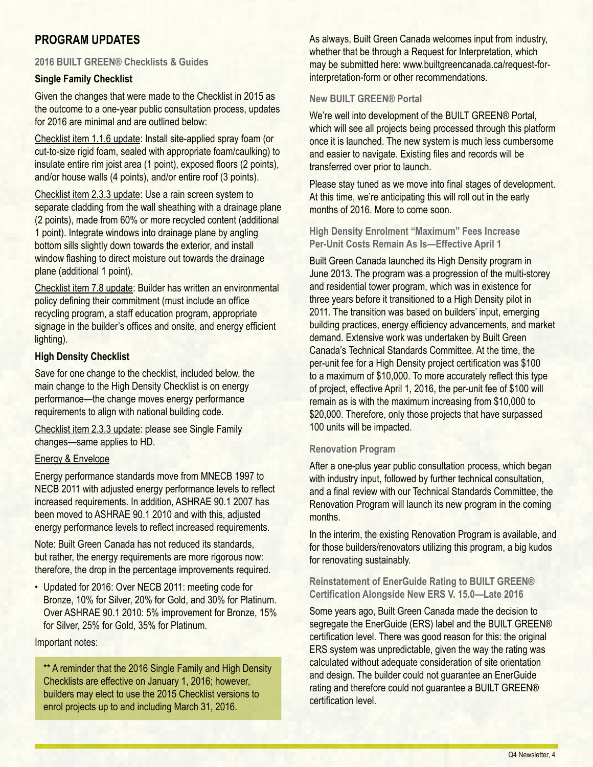## **PROGRAM UPDATES**

#### **2016 BUILT GREEN® Checklists & Guides**

#### **Single Family Checklist**

Given the changes that were made to the Checklist in 2015 as the outcome to a one-year public consultation process, updates for 2016 are minimal and are outlined below:

Checklist item 1.1.6 update: Install site-applied spray foam (or cut-to-size rigid foam, sealed with appropriate foam/caulking) to insulate entire rim joist area (1 point), exposed floors (2 points), and/or house walls (4 points), and/or entire roof (3 points).

Checklist item 2.3.3 update: Use a rain screen system to separate cladding from the wall sheathing with a drainage plane (2 points), made from 60% or more recycled content (additional 1 point). Integrate windows into drainage plane by angling bottom sills slightly down towards the exterior, and install window flashing to direct moisture out towards the drainage plane (additional 1 point).

Checklist item 7.8 update: Builder has written an environmental policy defining their commitment (must include an office recycling program, a staff education program, appropriate signage in the builder's offices and onsite, and energy efficient lighting).

#### **High Density Checklist**

Save for one change to the checklist, included below, the main change to the High Density Checklist is on energy performance—the change moves energy performance requirements to align with national building code.

Checklist item 2.3.3 update: please see Single Family changes—same applies to HD.

#### Energy & Envelope

Energy performance standards move from MNECB 1997 to NECB 2011 with adjusted energy performance levels to reflect increased requirements. In addition, ASHRAE 90.1 2007 has been moved to ASHRAE 90.1 2010 and with this, adjusted energy performance levels to reflect increased requirements.

Note: Built Green Canada has not reduced its standards, but rather, the energy requirements are more rigorous now: therefore, the drop in the percentage improvements required.

• Updated for 2016: Over NECB 2011: meeting code for Bronze, 10% for Silver, 20% for Gold, and 30% for Platinum. Over ASHRAE 90.1 2010: 5% improvement for Bronze, 15% for Silver, 25% for Gold, 35% for Platinum.

#### Important notes:

\*\* A reminder that the 2016 Single Family and High Density Checklists are effective on January 1, 2016; however, builders may elect to use the 2015 Checklist versions to enrol projects up to and including March 31, 2016.

As always, Built Green Canada welcomes input from industry, whether that be through a Request for Interpretation, which may be submitted here: www.builtgreencanada.ca/request-forinterpretation-form or other recommendations.

#### **New BUILT GREEN® Portal**

We're well into development of the BUILT GREEN® Portal, which will see all projects being processed through this platform once it is launched. The new system is much less cumbersome and easier to navigate. Existing files and records will be transferred over prior to launch.

Please stay tuned as we move into final stages of development. At this time, we're anticipating this will roll out in the early months of 2016. More to come soon.

**High Density Enrolment "Maximum" Fees Increase Per-Unit Costs Remain As Is—Effective April 1**

Built Green Canada launched its High Density program in June 2013. The program was a progression of the multi-storey and residential tower program, which was in existence for three years before it transitioned to a High Density pilot in 2011. The transition was based on builders' input, emerging building practices, energy efficiency advancements, and market demand. Extensive work was undertaken by Built Green Canada's Technical Standards Committee. At the time, the per-unit fee for a High Density project certification was \$100 to a maximum of \$10,000. To more accurately reflect this type of project, effective April 1, 2016, the per-unit fee of \$100 will remain as is with the maximum increasing from \$10,000 to \$20,000. Therefore, only those projects that have surpassed 100 units will be impacted.

#### **Renovation Program**

After a one-plus year public consultation process, which began with industry input, followed by further technical consultation, and a final review with our Technical Standards Committee, the Renovation Program will launch its new program in the coming months.

In the interim, the existing Renovation Program is available, and for those builders/renovators utilizing this program, a big kudos for renovating sustainably.

**Reinstatement of EnerGuide Rating to BUILT GREEN® Certification Alongside New ERS V. 15.0—Late 2016** 

Some years ago, Built Green Canada made the decision to segregate the EnerGuide (ERS) label and the BUILT GREEN® certification level. There was good reason for this: the original ERS system was unpredictable, given the way the rating was calculated without adequate consideration of site orientation and design. The builder could not guarantee an EnerGuide rating and therefore could not guarantee a BUILT GREEN® certification level.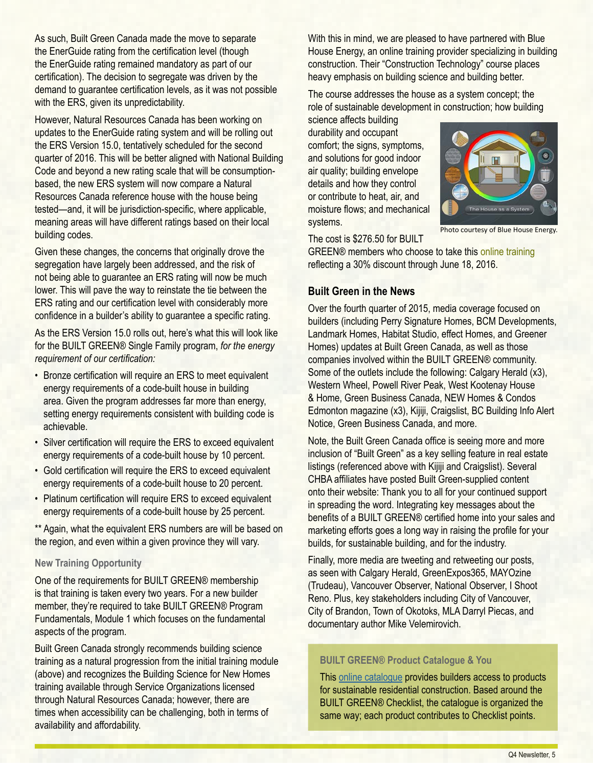As such, Built Green Canada made the move to separate the EnerGuide rating from the certification level (though the EnerGuide rating remained mandatory as part of our certification). The decision to segregate was driven by the demand to guarantee certification levels, as it was not possible with the ERS, given its unpredictability.

However, Natural Resources Canada has been working on updates to the EnerGuide rating system and will be rolling out the ERS Version 15.0, tentatively scheduled for the second quarter of 2016. This will be better aligned with National Building Code and beyond a new rating scale that will be consumptionbased, the new ERS system will now compare a Natural Resources Canada reference house with the house being tested—and, it will be jurisdiction-specific, where applicable, meaning areas will have different ratings based on their local building codes.

Given these changes, the concerns that originally drove the segregation have largely been addressed, and the risk of not being able to guarantee an ERS rating will now be much lower. This will pave the way to reinstate the tie between the ERS rating and our certification level with considerably more confidence in a builder's ability to guarantee a specific rating.

As the ERS Version 15.0 rolls out, here's what this will look like for the BUILT GREEN® Single Family program, *for the energy requirement of our certification:*

- Bronze certification will require an ERS to meet equivalent energy requirements of a code-built house in building area. Given the program addresses far more than energy, setting energy requirements consistent with building code is achievable.
- Silver certification will require the ERS to exceed equivalent energy requirements of a code-built house by 10 percent.
- Gold certification will require the ERS to exceed equivalent energy requirements of a code-built house to 20 percent.
- Platinum certification will require ERS to exceed equivalent energy requirements of a code-built house by 25 percent.

\*\* Again, what the equivalent ERS numbers are will be based on the region, and even within a given province they will vary.

#### **New Training Opportunity**

One of the requirements for BUILT GREEN® membership is that training is taken every two years. For a new builder member, they're required to take BUILT GREEN® Program Fundamentals, Module 1 which focuses on the fundamental aspects of the program.

Built Green Canada strongly recommends building science training as a natural progression from the initial training module (above) and recognizes the Building Science for New Homes training available through Service Organizations licensed through Natural Resources Canada; however, there are times when accessibility can be challenging, both in terms of availability and affordability.

With this in mind, we are pleased to have partnered with Blue House Energy, an online training provider specializing in building construction. Their "Construction Technology" course places heavy emphasis on building science and building better.

The course addresses the house as a system concept; the role of sustainable development in construction; how building

science affects building durability and occupant comfort; the signs, symptoms, and solutions for good indoor air quality; building envelope details and how they control or contribute to heat, air, and moisture flows; and mechanical systems.



Photo courtesy of Blue House Energy.

The cost is \$276.50 for BUILT

GREEN® members who choose to take this [online training](http://www.builtgreencanada.ca/built-green-training) reflecting a 30% discount through June 18, 2016.

#### **Built Green in the News**

Over the fourth quarter of 2015, media coverage focused on builders (including Perry Signature Homes, BCM Developments, Landmark Homes, Habitat Studio, effect Homes, and Greener Homes) updates at Built Green Canada, as well as those companies involved within the BUILT GREEN® community. Some of the outlets include the following: Calgary Herald (x3), Western Wheel, Powell River Peak, West Kootenay House & Home, Green Business Canada, NEW Homes & Condos Edmonton magazine (x3), Kijiji, Craigslist, BC Building Info Alert Notice, Green Business Canada, and more.

Note, the Built Green Canada office is seeing more and more inclusion of "Built Green" as a key selling feature in real estate listings (referenced above with Kijiji and Craigslist). Several CHBA affiliates have posted Built Green-supplied content onto their website: Thank you to all for your continued support in spreading the word. Integrating key messages about the benefits of a BUILT GREEN® certified home into your sales and marketing efforts goes a long way in raising the profile for your builds, for sustainable building, and for the industry.

Finally, more media are tweeting and retweeting our posts, as seen with Calgary Herald, GreenExpos365, MAYOzine (Trudeau), Vancouver Observer, National Observer, I Shoot Reno. Plus, key stakeholders including City of Vancouver, City of Brandon, Town of Okotoks, MLA Darryl Piecas, and documentary author Mike Velemirovich.

#### **BUILT GREEN® Product Catalogue & You**

This [online catalogue](http://www.builtgreencanada.ca/product-catalogue) provides builders access to products for sustainable residential construction. Based around the BUILT GREEN® Checklist, the catalogue is organized the same way; each product contributes to Checklist points.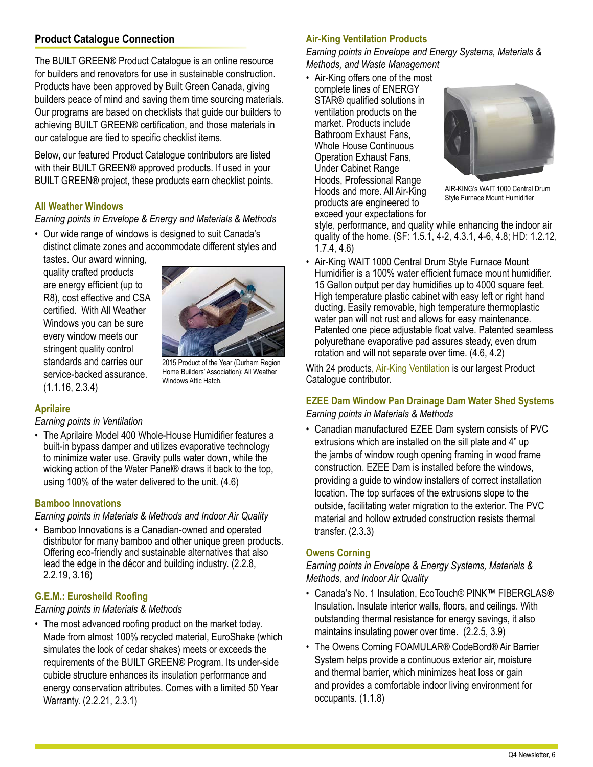## **Product Catalogue Connection**

The BUILT GREEN® Product Catalogue is an online resource for builders and renovators for use in sustainable construction. Products have been approved by Built Green Canada, giving builders peace of mind and saving them time sourcing materials. Our programs are based on checklists that guide our builders to achieving BUILT GREEN® certification, and those materials in our catalogue are tied to specific checklist items.

Below, our featured Product Catalogue contributors are listed with their BUILT GREEN® approved products. If used in your BUILT GREEN® project, these products earn checklist points.

#### **[All Weather Windows](http://www.builtgreencanada.ca/all-weather-windows)**

*Earning points in Envelope & Energy and Materials & Methods*

• Our wide range of windows is designed to suit Canada's distinct climate zones and accommodate different styles and

tastes. Our award winning, quality crafted products are energy efficient (up to R8), cost effective and CSA certified. With All Weather Windows you can be sure every window meets our stringent quality control standards and carries our service-backed assurance. (1.1.16, 2.3.4)



2015 Product of the Year (Durham Region Home Builders' Association): All Weather Windows Attic Hatch.

#### **[Aprilaire](http://builtgreencanada.ca/aprilaire)**

*Earning points in Ventilation*

• The Aprilaire Model 400 Whole-House Humidifier features a built-in bypass damper and utilizes evaporative technology to minimize water use. Gravity pulls water down, while the wicking action of the Water Panel® draws it back to the top, using 100% of the water delivered to the unit. (4.6)

#### **[Bamboo Innovations](http://builtgreencanada.ca/bamboo-innovations)**

*Earning points in Materials & Methods and Indoor Air Quality*

• Bamboo Innovations is a Canadian-owned and operated distributor for many bamboo and other unique green products. Offering eco-friendly and sustainable alternatives that also lead the edge in the décor and building industry. (2.2.8, 2.2.19, 3.16)

#### **[G.E.M.: Eurosheild Roofing](http://www.builtgreencanada.ca/euroshield-roofing)**

#### *Earning points in Materials & Methods*

• The most advanced roofing product on the market today. Made from almost 100% recycled material, EuroShake (which simulates the look of cedar shakes) meets or exceeds the requirements of the BUILT GREEN® Program. Its under-side cubicle structure enhances its insulation performance and energy conservation attributes. Comes with a limited 50 Year Warranty. (2.2.21, 2.3.1)

#### **[Air-King Ventilation Products](http://www.builtgreencanada.ca/air-king-ventilation-products)**

*Earning points in Envelope and Energy Systems, Materials & Methods, and Waste Management*

• Air-King offers one of the most

complete lines of ENERGY STAR® qualified solutions in ventilation products on the market. Products include Bathroom Exhaust Fans, Whole House Continuous Operation Exhaust Fans, Under Cabinet Range Hoods, Professional Range Hoods and more. All Air-King products are engineered to exceed your expectations for



AIR-KING's WAIT 1000 Central Drum Style Furnace Mount Humidifier

style, performance, and quality while enhancing the indoor air quality of the home. (SF: 1.5.1, 4-2, 4.3.1, 4-6, 4.8; HD: 1.2.12, 1.7.4, 4.6)

• Air-King WAIT 1000 Central Drum Style Furnace Mount Humidifier is a 100% water efficient furnace mount humidifier. 15 Gallon output per day humidifies up to 4000 square feet. High temperature plastic cabinet with easy left or right hand ducting. Easily removable, high temperature thermoplastic water pan will not rust and allows for easy maintenance. Patented one piece adjustable float valve. Patented seamless polyurethane evaporative pad assures steady, even drum rotation and will not separate over time. (4.6, 4.2)

With 24 products, [Air-King Ventilation](http://www.builtgreencanada.ca/air-king-ventilation-products) is our largest Product Catalogue contributor.

## **[EZEE Dam Window Pan Drainage Dam Water Shed Systems](http://www.builtgreencanada.ca/ezee-dam)**

- *Earning points in Materials & Methods*
- Canadian manufactured EZEE Dam system consists of PVC extrusions which are installed on the sill plate and 4" up the jambs of window rough opening framing in wood frame construction. EZEE Dam is installed before the windows, providing a guide to window installers of correct installation location. The top surfaces of the extrusions slope to the outside, facilitating water migration to the exterior. The PVC material and hollow extruded construction resists thermal transfer. (2.3.3)

#### **[Owens Corning](http://www.builtgreencanada.ca/owens-corning)**

*Earning points in Envelope & Energy Systems, Materials & Methods, and Indoor Air Quality*

- Canada's No. 1 Insulation, EcoTouch® PINK™ FIBERGLAS® Insulation. Insulate interior walls, floors, and ceilings. With outstanding thermal resistance for energy savings, it also maintains insulating power over time. (2.2.5, 3.9)
- The Owens Corning FOAMULAR® CodeBord® Air Barrier System helps provide a continuous exterior air, moisture and thermal barrier, which minimizes heat loss or gain and provides a comfortable indoor living environment for occupants. (1.1.8)